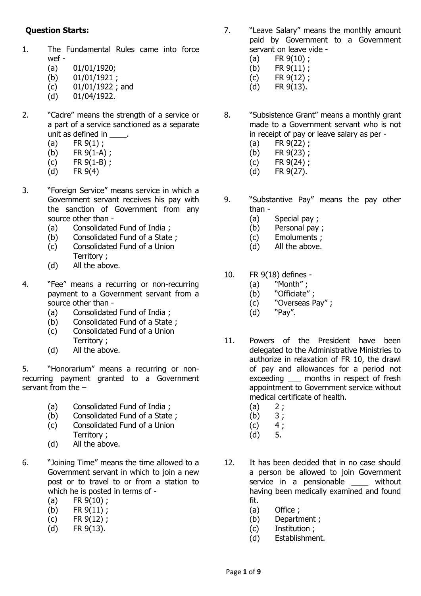## **Question Starts:**

- 1. The Fundamental Rules came into force wef -
	- (a) 01/01/1920;
	- (b) 01/01/1921 ;
	- (c) 01/01/1922 ; and
	- (d) 01/04/1922.
- 2. "Cadre" means the strength of a service or a part of a service sanctioned as a separate unit as defined in \_\_\_\_\_.
	- (a)  $FR 9(1)$ ;
	- (b) FR  $9(1-A)$ ;
	- (c) FR 9(1-B) ;
	- (d) FR 9(4)
- 3. "Foreign Service" means service in which a Government servant receives his pay with the sanction of Government from any source other than -
	- (a) Consolidated Fund of India ;
	- (b) Consolidated Fund of a State ;
	- (c) Consolidated Fund of a Union Territory ;
	- (d) All the above.
- 4. "Fee" means a recurring or non-recurring payment to a Government servant from a source other than -
	- (a) Consolidated Fund of India ;
	- (b) Consolidated Fund of a State ; (c) Consolidated Fund of a Union
	- Territory ;
	- (d) All the above.

5. "Honorarium" means a recurring or nonrecurring payment granted to a Government servant from the –

- (a) Consolidated Fund of India ;
- (b) Consolidated Fund of a State ;
- (c) Consolidated Fund of a Union Territory ;
- (d) All the above.
- 6. "Joining Time" means the time allowed to a Government servant in which to join a new post or to travel to or from a station to which he is posted in terms of -
	- (a) FR 9(10) ;
	- (b) FR 9(11) ;
	- (c) FR  $9(12)$ ;
	- (d) FR 9(13).
- 7. "Leave Salary" means the monthly amount paid by Government to a Government servant on leave vide -
	- $(a)$  FR  $9(10)$  :
	- (b) FR 9(11) ;
	- (c) FR 9(12) ;
	- (d) FR 9(13).
- 8. "Subsistence Grant" means a monthly grant made to a Government servant who is not in receipt of pay or leave salary as per -
	- (a) FR 9(22) ;
	- (b) FR 9(23) ;
	- (c) FR 9(24) ;
	- (d) FR 9(27).
- 9. "Substantive Pay" means the pay other than -
	- (a) Special pay ;
	- (b) Personal pay ;
	- (c) Emoluments ;
	- (d) All the above.
- 10. FR 9(18) defines
	- (a) "Month" ;
	- (b) "Officiate";
	- (c) "Overseas Pay" ;
	- (d) "Pay".
- 11. Powers of the President have been delegated to the Administrative Ministries to authorize in relaxation of FR 10, the drawl of pay and allowances for a period not exceeding \_\_\_ months in respect of fresh appointment to Government service without medical certificate of health.
	- $(a) 2;$
	- $(b) 3;$
	- $(c) 4;$
	- (d) 5.
- 12. It has been decided that in no case should a person be allowed to join Government service in a pensionable \_\_\_\_\_ without having been medically examined and found fit.
	- (a) Office ;
	- (b) Department ;
	- (c) Institution ;
	- (d) Establishment.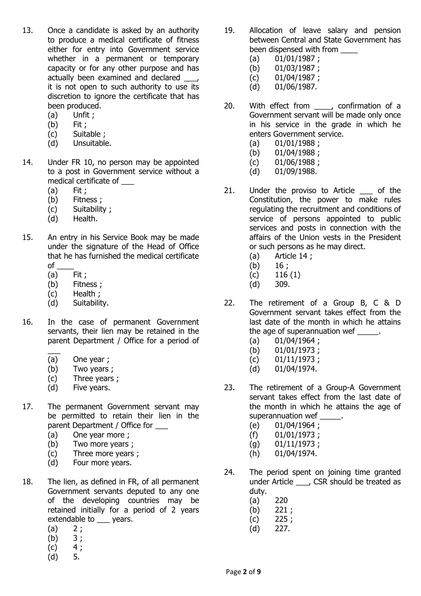- 13. Once a candidate is asked by an authority to produce a medical certificate of fitness either for entry into Government service whether in a permanent or temporary capacity or for any other purpose and has actually been examined and declared it is not open to such authority to use its discretion to ignore the certificate that has been produced.
	- (a) Unfit ;
	- (b) Fit ;
	- (c) Suitable ;
	- (d) Unsuitable.
- 14. Under FR 10, no person may be appointed to a post in Government service without a medical certificate of \_\_\_
	- (a) Fit ;
	- (b) Fitness ;
	- (c) Suitability ;
	- (d) Health.
- 15. An entry in his Service Book may be made under the signature of the Head of Office that he has furnished the medical certificate  $o<sub>f</sub>$ 
	- (a) Fit ;
	- (b) Fitness ;
	- (c) Health ;
	- (d) Suitability.
- 16. In the case of permanent Government servants, their lien may be retained in the parent Department / Office for a period of
	- $\overline{\phantom{a}}$ (a) One year ;
	- (b) Two years ;
	- (c) Three years ;
	- (d) Five years.
- 17. The permanent Government servant may be permitted to retain their lien in the parent Department / Office for \_\_\_
	- (a) One year more ;
	- (b) Two more years ;
	- (c) Three more years ;
	- (d) Four more years.
- 18. The lien, as defined in FR, of all permanent Government servants deputed to any one of the developing countries may be retained initially for a period of 2 years extendable to \_\_\_ years.
	- $(a) 2;$
	- $(b) 3;$
	- $(c) 4;$
	- (d) 5.
- 19. Allocation of leave salary and pension between Central and State Government has been dispensed with from
	- (a) 01/01/1987 ;
	- (b) 01/03/1987 ;
	- (c) 01/04/1987 ;
	- (d) 01/06/1987.
- 20. With effect from , confirmation of a Government servant will be made only once in his service in the grade in which he enters Government service.
	- $(a)$  01/01/1988;
	- (b) 01/04/1988 ;
	- (c) 01/06/1988 ;
	- (d) 01/09/1988.
- 21. Under the proviso to Article \_\_\_ of the Constitution, the power to make rules regulating the recruitment and conditions of service of persons appointed to public services and posts in connection with the affairs of the Union vests in the President or such persons as he may direct.
	- (a) Article 14 ;
	- $(b)$  16;
	- $(c)$  116 (1)
	- (d) 309.
- 22. The retirement of a Group B, C & D Government servant takes effect from the last date of the month in which he attains the age of superannuation wef .
	- $(a)$  01/04/1964 ;
	- (b) 01/01/1973 ;
	- $(c)$  01/11/1973;
	- (d) 01/04/1974.
- 23. The retirement of a Group-A Government servant takes effect from the last date of the month in which he attains the age of superannuation wef \_\_\_\_\_\_.
	- (e) 01/04/1964 ;
	- (f) 01/01/1973 ;
	- (g) 01/11/1973 ;
	- (h) 01/04/1974.
- 24. The period spent on joining time granted under Article \_\_\_, CSR should be treated as duty.
	- (a) 220
	- (b) 221 ;
	- $(c)$  225;
	- (d) 227.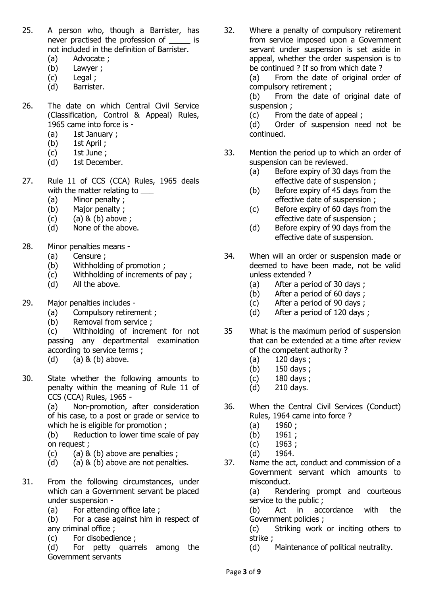- 25. A person who, though a Barrister, has never practised the profession of  $\qquad$  is not included in the definition of Barrister.
	- (a) Advocate ;
	- (b) Lawyer ;
	- (c) Legal ;
	- (d) Barrister.
- 26. The date on which Central Civil Service (Classification, Control & Appeal) Rules, 1965 came into force is -
	- (a) 1st January ;
	- (b) 1st April ;
	- (c) 1st June ;
	- (d) 1st December.
- 27. Rule 11 of CCS (CCA) Rules, 1965 deals with the matter relating to
	- (a) Minor penalty ;
	- (b) Major penalty ;
	- $(c)$  (a)  $& (b)$  above ;
	- (d) None of the above.
- 28. Minor penalties means
	- (a) Censure ;
	- (b) Withholding of promotion ;
	- (c) Withholding of increments of pay ;
	- (d) All the above.
- 29. Major penalties includes
	- (a) Compulsory retirement ;
	- (b) Removal from service ;

(c) Withholding of increment for not passing any departmental examination according to service terms ;

- (d)  $(a)$  & (b) above.
- 30. State whether the following amounts to penalty within the meaning of Rule 11 of CCS (CCA) Rules, 1965 -

(a) Non-promotion, after consideration of his case, to a post or grade or service to which he is eligible for promotion ;

(b) Reduction to lower time scale of pay on request ;

- $(c)$  (a)  $\&$  (b) above are penalties ;
- (d) (a)  $\&$  (b) above are not penalties.
- 31. From the following circumstances, under which can a Government servant be placed under suspension -
	- (a) For attending office late ;
	- (b) For a case against him in respect of any criminal office ;
	- (c) For disobedience ;

(d) For petty quarrels among the Government servants

32. Where a penalty of compulsory retirement from service imposed upon a Government servant under suspension is set aside in appeal, whether the order suspension is to be continued ? If so from which date ?

(a) From the date of original order of compulsory retirement ;

(b) From the date of original date of suspension ;

(c) From the date of appeal ;

(d) Order of suspension need not be continued.

- 33. Mention the period up to which an order of suspension can be reviewed.
	- (a) Before expiry of 30 days from the effective date of suspension ;
	- (b) Before expiry of 45 days from the effective date of suspension ;
	- (c) Before expiry of 60 days from the effective date of suspension ;
	- (d) Before expiry of 90 days from the effective date of suspension.
- 34. When will an order or suspension made or deemed to have been made, not be valid unless extended ?
	- (a) After a period of 30 days ;
	- (b) After a period of 60 days ;
	- (c) After a period of 90 days ;
	- (d) After a period of 120 days ;
- 35 What is the maximum period of suspension that can be extended at a time after review of the competent authority ?
	- (a) 120 days ;
	- (b) 150 days ;
	- (c) 180 days ;
	- (d) 210 days.
- 36. When the Central Civil Services (Conduct) Rules, 1964 came into force ?
	- $(a)$  1960;
	- (b) 1961 ;
	- (c) 1963 ;
	- (d) 1964.
- 37. Name the act, conduct and commission of a Government servant which amounts to misconduct.

(a) Rendering prompt and courteous service to the public ;

(b) Act in accordance with the Government policies ;

(c) Striking work or inciting others to strike ;

(d) Maintenance of political neutrality.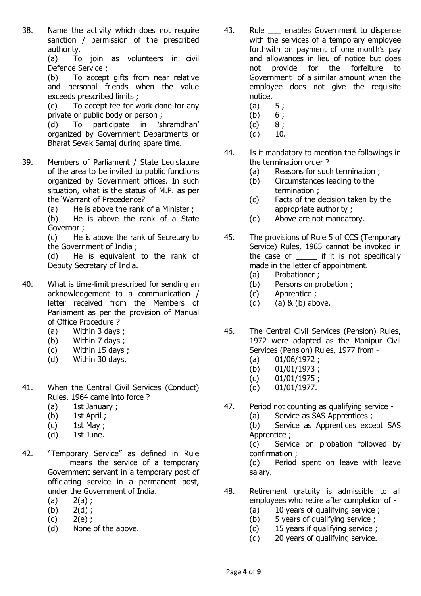38. Name the activity which does not require sanction / permission of the prescribed authority.

(a) To join as volunteers in civil Defence Service ;

(b) To accept gifts from near relative and personal friends when the value exceeds prescribed limits ;

(c) To accept fee for work done for any private or public body or person ;

(d) To participate in 'shramdhan' organized by Government Departments or Bharat Sevak Samaj during spare time.

- 39. Members of Parliament / State Legislature of the area to be invited to public functions organized by Government offices. In such situation, what is the status of M.P. as per the 'Warrant of Precedence?
	- (a) He is above the rank of a Minister ;

(b) He is above the rank of a State Governor ;

(c) He is above the rank of Secretary to the Government of India ;

(d) He is equivalent to the rank of Deputy Secretary of India.

- 40. What is time-limit prescribed for sending an acknowledgement to a communication / letter received from the Members of Parliament as per the provision of Manual of Office Procedure ?
	- (a) Within 3 days ;
	- (b) Within 7 days ;
	- (c) Within 15 days ;
	- (d) Within 30 days.
- 41. When the Central Civil Services (Conduct) Rules, 1964 came into force ?
	- (a) 1st January ;
	- (b) 1st April ;
	- (c) 1st May ;
	- (d) 1st June.
- 42. "Temporary Service" as defined in Rule \_\_\_\_ means the service of a temporary Government servant in a temporary post of officiating service in a permanent post, under the Government of India.
	- $(a) 2(a)$ ;
	- $(b) 2(d)$ ;
	- $(c)$  2(e);
	- (d) None of the above.
- 43. Rule \_\_ enables Government to dispense with the services of a temporary employee forthwith on payment of one month's pay and allowances in lieu of notice but does not provide for the forfeiture to Government of a similar amount when the employee does not give the requisite notice.
	-
	- (a)  $5 ;$ <br>(b)  $6 ;$  $(b)$
	- $(c) 8;$
	- $(d)$  10.
- 44. Is it mandatory to mention the followings in the termination order ?
	- (a) Reasons for such termination ;
	- (b) Circumstances leading to the termination ;
	- (c) Facts of the decision taken by the appropriate authority ;
	- (d) Above are not mandatory.
- 45. The provisions of Rule 5 of CCS (Temporary Service) Rules, 1965 cannot be invoked in the case of \_\_\_\_\_\_ if it is not specifically made in the letter of appointment.
	- (a) Probationer ;
	- (b) Persons on probation ;
	- (c) Apprentice ;
	- (d)  $(a)$  & (b) above.
- 46. The Central Civil Services (Pension) Rules, 1972 were adapted as the Manipur Civil Services (Pension) Rules, 1977 from -
	- (a) 01/06/1972 ;
	- (b) 01/01/1973 ;
	- (c) 01/01/1975 ;
	- (d) 01/01/1977.
- 47. Period not counting as qualifying service
	- (a) Service as SAS Apprentices ;

(b) Service as Apprentices except SAS Apprentice ;

(c) Service on probation followed by confirmation ;

(d) Period spent on leave with leave salary.

- 48. Retirement gratuity is admissible to all employees who retire after completion of -
	- (a) 10 years of qualifying service ;
	- (b) 5 years of qualifying service ;
	- (c) 15 years if qualifying service ;
	- (d) 20 years of qualifying service.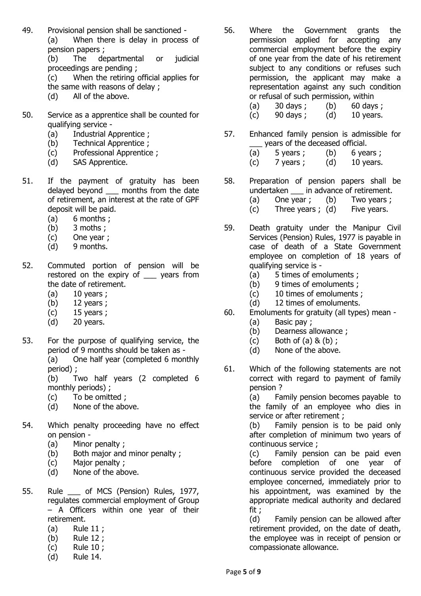49. Provisional pension shall be sanctioned - (a) When there is delay in process of pension papers ;

(b) The departmental or judicial proceedings are pending ;

- (c) When the retiring official applies for the same with reasons of delay ;
- (d) All of the above.
- 50. Service as a apprentice shall be counted for qualifying service -
	- (a) Industrial Apprentice ;
	- (b) Technical Apprentice ;
	- (c) Professional Apprentice ;
	- (d) SAS Apprentice.
- 51. If the payment of gratuity has been delayed beyond \_\_\_ months from the date of retirement, an interest at the rate of GPF deposit will be paid.
	- (a) 6 months ;
	- (b) 3 moths ;
	- (c) One year ;
	- (d) 9 months.
- 52. Commuted portion of pension will be restored on the expiry of \_\_\_ years from the date of retirement.
	- $(a)$  10 years ;
	- (b) 12 years ;
	- $(c)$  15 years ;
	- (d) 20 years.
- 53. For the purpose of qualifying service, the period of 9 months should be taken as - (a) One half year (completed 6 monthly period) ;

(b) Two half years (2 completed 6 monthly periods) ;

- (c) To be omitted ;
- (d) None of the above.
- 54. Which penalty proceeding have no effect on pension -
	- (a) Minor penalty ;
	- (b) Both major and minor penalty ;
	- (c) Major penalty ;
	- (d) None of the above.
- 55. Rule \_\_\_ of MCS (Pension) Rules, 1977, regulates commercial employment of Group – A Officers within one year of their retirement.
	- (a) Rule 11 ;
	- (b) Rule 12 ;
	- (c) Rule 10 ;
	- (d) Rule 14.
- 56. Where the Government grants the permission applied for accepting any commercial employment before the expiry of one year from the date of his retirement subject to any conditions or refuses such permission, the applicant may make a representation against any such condition or refusal of such permission, within
	- (a)  $30 \text{ days}$ ; (b)  $60 \text{ days}$ ;
	- $(c)$  90 days;  $(d)$  10 years.
- 57. Enhanced family pension is admissible for \_\_\_ years of the deceased official.
	- (a)  $5 \text{ years}$ ; (b)  $6 \text{ years}$ ;
	- $(c)$  7 years;  $(d)$  10 years.
- 58. Preparation of pension papers shall be undertaken in advance of retirement.
	- (a) One year ; (b) Two years ;
	- (c) Three years ; (d) Five years.
- 59. Death gratuity under the Manipur Civil Services (Pension) Rules, 1977 is payable in case of death of a State Government employee on completion of 18 years of qualifying service is -
	- (a) 5 times of emoluments ;
	- (b) 9 times of emoluments ;
	- (c) 10 times of emoluments ;
	- (d) 12 times of emoluments.
- 60. Emoluments for gratuity (all types) mean
	- (a) Basic pay ;
	- (b) Dearness allowance ;
	- $(c)$  Both of  $(a)$  &  $(b)$ ;
	- (d) None of the above.
- 61. Which of the following statements are not correct with regard to payment of family pension ?

(a) Family pension becomes payable to the family of an employee who dies in service or after retirement ;

(b) Family pension is to be paid only after completion of minimum two years of continuous service ;

(c) Family pension can be paid even before completion of one year of continuous service provided the deceased employee concerned, immediately prior to his appointment, was examined by the appropriate medical authority and declared fit ;

(d) Family pension can be allowed after retirement provided, on the date of death, the employee was in receipt of pension or compassionate allowance.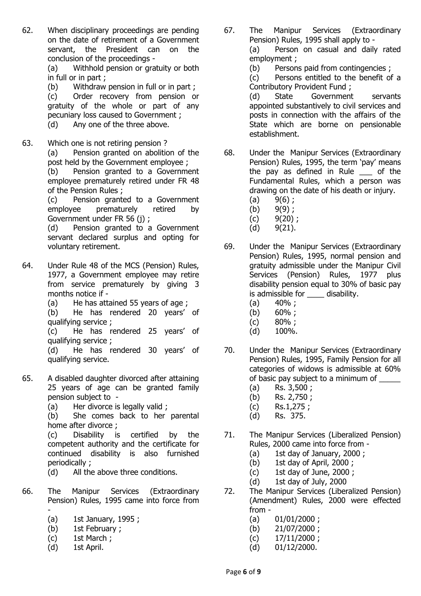62. When disciplinary proceedings are pending on the date of retirement of a Government servant, the President can on the conclusion of the proceedings -

(a) Withhold pension or gratuity or both in full or in part ;

(b) Withdraw pension in full or in part ;

(c) Order recovery from pension or gratuity of the whole or part of any pecuniary loss caused to Government ; (d) Any one of the three above.

63. Which one is not retiring pension ?

(a) Pension granted on abolition of the post held by the Government employee ;

(b) Pension granted to a Government employee prematurely retired under FR 48 of the Pension Rules ;

(c) Pension granted to a Government employee prematurely retired by Government under FR 56 (j) ;

(d) Pension granted to a Government servant declared surplus and opting for voluntary retirement.

- 64. Under Rule 48 of the MCS (Pension) Rules, 1977, a Government employee may retire from service prematurely by giving 3 months notice if -
	- (a) He has attained 55 years of age ;

(b) He has rendered 20 years' of qualifying service ;

(c) He has rendered 25 years' of qualifying service ;

(d) He has rendered 30 years' of qualifying service.

- 65. A disabled daughter divorced after attaining 25 years of age can be granted family pension subject to -
	- (a) Her divorce is legally valid ;

(b) She comes back to her parental home after divorce,

(c) Disability is certified by the competent authority and the certificate for continued disability is also furnished periodically ;

- (d) All the above three conditions.
- 66. The Manipur Services (Extraordinary Pension) Rules, 1995 came into force from -
	- (a) 1st January, 1995 ;
	- (b) 1st February ;
	- (c) 1st March ;
	- (d) 1st April.

67. The Manipur Services (Extraordinary Pension) Rules, 1995 shall apply to - (a) Person on casual and daily rated employment ;

(b) Persons paid from contingencies ;

(c) Persons entitled to the benefit of a Contributory Provident Fund ;

(d) State Government servants appointed substantively to civil services and posts in connection with the affairs of the State which are borne on pensionable establishment.

- 68. Under the Manipur Services (Extraordinary Pension) Rules, 1995, the term 'pay' means the pay as defined in Rule \_\_\_ of the Fundamental Rules, which a person was drawing on the date of his death or injury.
	- $(a)$  9(6);
	- $(b)$  9(9);
	- $(c)$  9(20);
	- $(d)$  9(21).
- 69. Under the Manipur Services (Extraordinary Pension) Rules, 1995, normal pension and gratuity admissible under the Manipur Civil Services (Pension) Rules, 1977 plus disability pension equal to 30% of basic pay is admissible for disability.
	- $(a)$  40%;
	- (b) 60% ;
	- (c) 80% ;
	- (d) 100%.
- 70. Under the Manipur Services (Extraordinary Pension) Rules, 1995, Family Pension for all categories of widows is admissible at 60% of basic pay subject to a minimum of
	- (a) Rs. 3,500 ;
	- (b) Rs. 2,750 ;
	- (c) Rs.1,275 ;
	- (d) Rs. 375.
- 71. The Manipur Services (Liberalized Pension) Rules, 2000 came into force from -
	- (a) 1st day of January, 2000 ;
	- (b) 1st day of April, 2000 ;
	- (c) 1st day of June, 2000 ;
	- (d) 1st day of July, 2000
- 72. The Manipur Services (Liberalized Pension) (Amendment) Rules, 2000 were effected from -
	- $(a)$  01/01/2000;
	- (b) 21/07/2000 ;
	- $(c)$  17/11/2000 ;
	- (d) 01/12/2000.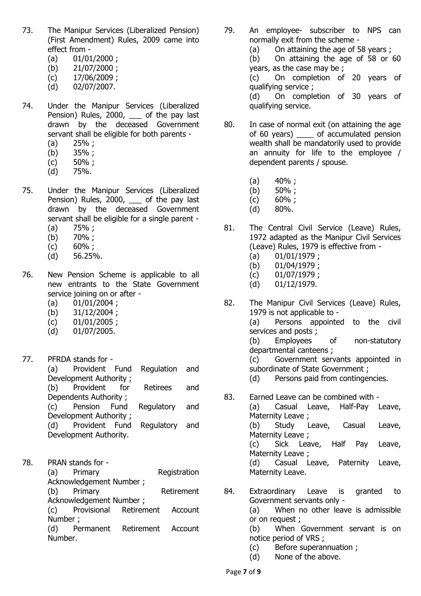- 73. The Manipur Services (Liberalized Pension) (First Amendment) Rules, 2009 came into effect from -
	- $(a)$  01/01/2000 ;
	- (b) 21/07/2000 ;
	- (c) 17/06/2009 ;
	- (d) 02/07/2007.
- 74. Under the Manipur Services (Liberalized Pension) Rules, 2000, \_\_\_ of the pay last drawn by the deceased Government servant shall be eligible for both parents -
	- $(a)$  25%;
	- (b) 35% ;
	- (c) 50% ;
	- (d) 75%.
- 75. Under the Manipur Services (Liberalized Pension) Rules, 2000, of the pay last drawn by the deceased Government servant shall be eligible for a single parent -
	- $(a)$  75%;
	- (b) 70% ;
	- (c) 60% ;
	- (d) 56.25%.
- 76. New Pension Scheme is applicable to all new entrants to the State Government service joining on or after -
	- $(a)$  01/01/2004;
	- (b) 31/12/2004 ;
	- (c) 01/01/2005 ;
	- (d) 01/07/2005.
- 77. PFRDA stands for (a) Provident Fund Regulation and Development Authority ; (b) Provident for Retirees and Dependents Authority ; (c) Pension Fund Regulatory and Development Authority ; (d) Provident Fund Regulatory and Development Authority.
- 78. PRAN stands for (a) Primary Registration Acknowledgement Number ; (b) Primary Retirement Acknowledgement Number ; (c) Provisional Retirement Account Number ;

(d) Permanent Retirement Account Number.

- 79. An employee- subscriber to NPS can normally exit from the scheme -
	- (a) On attaining the age of 58 years ;

(b) On attaining the age of 58 or 60 years, as the case may be ;

(c) On completion of 20 years of qualifying service ;

(d) On completion of 30 years of qualifying service.

- 80. In case of normal exit (on attaining the age of 60 years) \_\_\_\_ of accumulated pension wealth shall be mandatorily used to provide an annuity for life to the employee / dependent parents / spouse.
	- $(a)$  40%;
	- (b) 50% ;
	- (c) 60% ;
	- (d) 80%.
- 81. The Central Civil Service (Leave) Rules, 1972 adapted as the Manipur Civil Services (Leave) Rules, 1979 is effective from -
	- (a) 01/01/1979 ;
	- (b) 01/04/1979 ;
	- (c) 01/07/1979 ;
	- (d) 01/12/1979.
- 82. The Manipur Civil Services (Leave) Rules, 1979 is not applicable to - (a) Persons appointed to the civil services and posts ; (b) Employees of non-statutory departmental canteens ; (c) Government servants appointed in subordinate of State Government ; (d) Persons paid from contingencies.
- 83. Earned Leave can be combined with (a) Casual Leave, Half-Pay Leave, Maternity Leave ; (b) Study Leave, Casual Leave, Maternity Leave : (c) Sick Leave, Half Pay Leave, Maternity Leave; (d) Casual Leave, Paternity Leave, Maternity Leave.
- 84. Extraordinary Leave is granted to Government servants only - (a) When no other leave is admissible or on request ; (b) When Government servant is on notice period of VRS ;
	- (c) Before superannuation ;
	- (d) None of the above.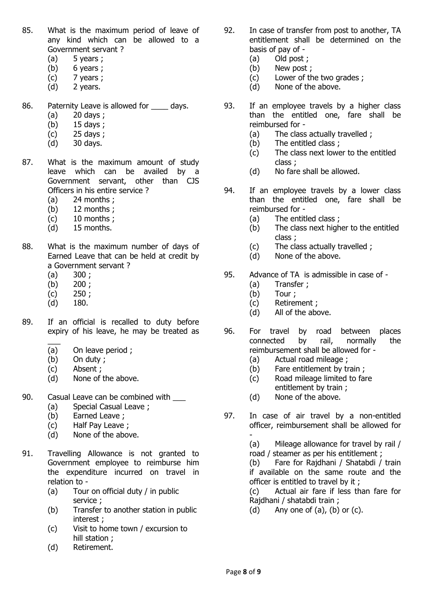- 85. What is the maximum period of leave of any kind which can be allowed to a Government servant ?
	- $(a)$  5 years ;
	- $(b)$  6 years ;
	- $(c)$  7 years ;
	- (d) 2 years.
- 86. Paternity Leave is allowed for days.
	- (a) 20 days ;
	- (b) 15 days ;
	- (c) 25 days ;
	- (d) 30 days.
- 87. What is the maximum amount of study leave which can be availed by a Government servant, other than CJS Officers in his entire service ?
	- $(a)$  24 months ;
	- (b) 12 months ;
	- (c) 10 months ;
	- (d) 15 months.
- 88. What is the maximum number of days of Earned Leave that can be held at credit by a Government servant ?
	- $(a) 300;$
	- $(b) 200;$
	- $(c)$  250;
	- (d) 180.
- 89. If an official is recalled to duty before expiry of his leave, he may be treated as
	- $\overline{\phantom{a}}$ (a) On leave period ;
	- (b) On duty ;
	- (c) Absent ;
	- (d) None of the above.
- 90. Casual Leave can be combined with \_\_\_
	- (a) Special Casual Leave ;
	- (b) Earned Leave ;
	- (c) Half Pay Leave ;
	- (d) None of the above.
- 91. Travelling Allowance is not granted to Government employee to reimburse him the expenditure incurred on travel in relation to -
	- (a) Tour on official duty / in public service ;
	- (b) Transfer to another station in public interest ;
	- (c) Visit to home town / excursion to hill station ;
	- (d) Retirement.
- 92. In case of transfer from post to another, TA entitlement shall be determined on the basis of pay of -
	- (a) Old post ;
	- (b) New post ;
	- (c) Lower of the two grades ;
	- (d) None of the above.
- 93. If an employee travels by a higher class than the entitled one, fare shall be reimbursed for -
	- (a) The class actually travelled ;
	- (b) The entitled class ;
	- (c) The class next lower to the entitled class ;
	- (d) No fare shall be allowed.
- 94. If an employee travels by a lower class than the entitled one, fare shall be reimbursed for -
	- (a) The entitled class ;
	- (b) The class next higher to the entitled class ;
	- (c) The class actually travelled ;
	- (d) None of the above.
- 95. Advance of TA is admissible in case of
	- (a) Transfer ;
	- (b) Tour ;
	- (c) Retirement ;
	- (d) All of the above.
- 96. For travel by road between places connected by rail, normally the reimbursement shall be allowed for -
	- (a) Actual road mileage ;
	- (b) Fare entitlement by train ;
	- (c) Road mileage limited to fare entitlement by train ;
	- (d) None of the above.
- 97. In case of air travel by a non-entitled officer, reimbursement shall be allowed for -

(a) Mileage allowance for travel by rail / road / steamer as per his entitlement ;

(b) Fare for Rajdhani / Shatabdi / train if available on the same route and the officer is entitled to travel by it ;

(c) Actual air fare if less than fare for Rajdhani / shatabdi train ;

(d) Any one of  $(a)$ ,  $(b)$  or  $(c)$ .